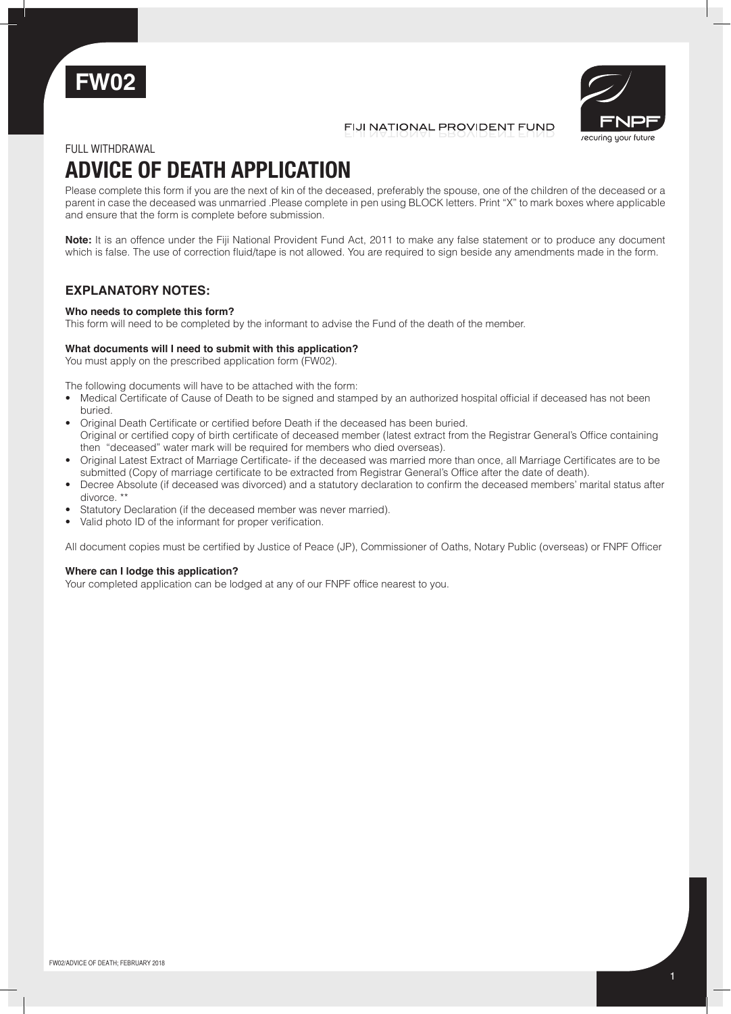



## FIJI NATIONAL PROVIDENT FUND

### FULL withdrawal

# **ADVICE OF DEATH APPLICATION**

Please complete this form if you are the next of kin of the deceased, preferably the spouse, one of the children of the deceased or a parent in case the deceased was unmarried .Please complete in pen using BLOCK letters. Print "X" to mark boxes where applicable and ensure that the form is complete before submission.

**Note:** It is an offence under the Fiji National Provident Fund Act, 2011 to make any false statement or to produce any document which is false. The use of correction fluid/tape is not allowed. You are required to sign beside any amendments made in the form.

# **EXPLANATORY NOTES:**

#### **Who needs to complete this form?**

This form will need to be completed by the informant to advise the Fund of the death of the member.

#### **What documents will I need to submit with this application?**

You must apply on the prescribed application form (FW02).

The following documents will have to be attached with the form:

- Medical Certificate of Cause of Death to be signed and stamped by an authorized hospital official if deceased has not been buried.
- Original Death Certificate or certified before Death if the deceased has been buried. Original or certified copy of birth certificate of deceased member (latest extract from the Registrar General's Office containing then "deceased" water mark will be required for members who died overseas).
- Original Latest Extract of Marriage Certificate- if the deceased was married more than once, all Marriage Certificates are to be submitted (Copy of marriage certificate to be extracted from Registrar General's Office after the date of death).
- Decree Absolute (if deceased was divorced) and a statutory declaration to confirm the deceased members' marital status after divorce. \*\*
- Statutory Declaration (if the deceased member was never married).
- Valid photo ID of the informant for proper verification.

All document copies must be certified by Justice of Peace (JP), Commissioner of Oaths, Notary Public (overseas) or FNPF Officer

#### **Where can I lodge this application?**

Your completed application can be lodged at any of our FNPF office nearest to you.